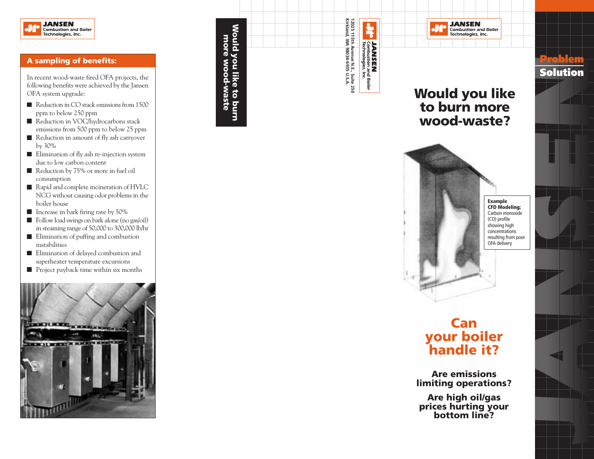

#### **A sampling of benefits:**

In recent wood-waste fired OFA projects, the following benefits were achieved by the Jansen OFA system upgrade:

- Reduction in CO stack emissions from 1500 ppm to below 250 ppm
- Reduction in VOC/hydrocarbons stack emissions from 500 ppm to below 25 ppm
- Reduction in amount of fly ash carryover by 30%
- Elimination of fly ash re-injection system due to low carbon content
- Reduction by 75% or more in fuel oil consumption
- Rapid and complete incineration of HVLC NCG without causing odor problems in the boiler house
- Increase in bark firing rate by 50%
- Follow load swings on bark alone (no gas/oil) in steaming range of 50,000 to 300,000 lb/hr
- **Elimination of puffing and combustion** instabilities
- **Elimination of delayed combustion and** superheater temperature excursions
- **Project payback time within six months**



12025 115th Avenue N.E., Suite 250<br>Kirkland, WA 98034-6935 U.S.A. **Kirkland, WA 98034-6935 U.S.A. 12025 115th Avenue N.E., Suite 250**  $\frac{1}{2}$ Would you like to burn<br>more wood-waste **Would you like to burn more wood-waste JANSEN**<br>Combustion and Boiler<br>Technologies, Inc.



**Would you like to burn more wood-waste?**

**JANSEN** 

Combustion and Boiler<br>Technologies, Inc.

JA

**CFD Modeling;** Carbon monoxide showing high concentrations resulting from poor OFA delivery

**Problem Solution**

# **Can your boiler handle it?**

**Are emissions limiting operations?**

**Are high oil/gas prices hurting your bottom line?**